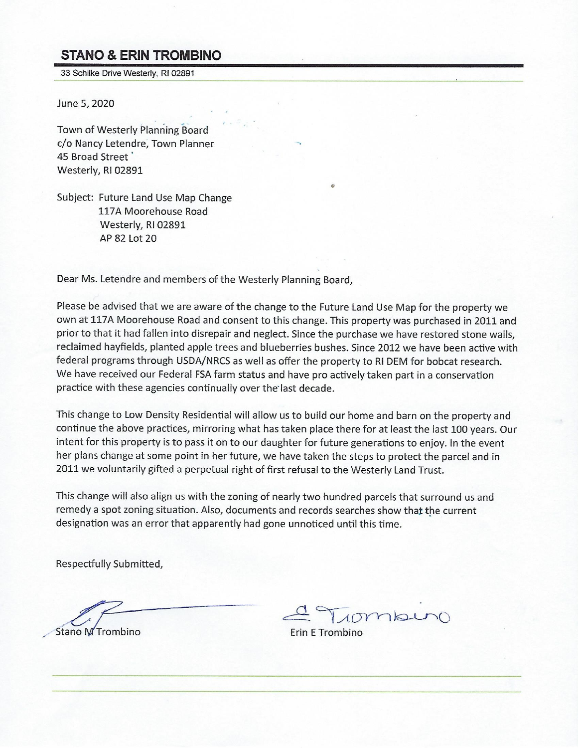## **STANO & ERIN TROMBINO**

33 Schilke Drive Westerly, RI 02891

June 5, 2020

Town of Westerly Planning Board c/o Nancy Letendre, Town Planner 45 Broad Street Westerly, RI 02891

Subject: Future Land Use Map Change 117A Moorehouse Road Westerly, RI 02891 AP 82 Lot 20

Dear Ms. Letendre and members of the Westerly Planning Board,

Please be advised that we are aware of the change to the Future Land Use Map for the property we own at 117A Moorehouse Road and consent to this change. This property was purchased in 2011 and prior to that it had fallen into disrepair and neglect. Since the purchase we have restored stone walls, reclaimed hayfields, planted apple trees and blueberries bushes. Since 2012 we have been active with federal programs through USDA/NRCS as well as offer the property to RI DEM for bobcat research. We have received our Federal FSA farm status and have pro actively taken part in a conservation practice with these agencies continually over the last decade.

This change to Low Density Residential will allow us to build our home and barn on the property and continue the above practices, mirroring what has taken place there for at least the last 100 years. Our intent for this property is to pass it on to our daughter for future generations to enjoy. In the event her plans change at some point in her future, we have taken the steps to protect the parcel and in 2011 we voluntarily gifted a perpetual right of first refusal to the Westerly Land Trust.

This change will also align us with the zoning of nearly two hundred parcels that surround us and remedy a spot zoning situation. Also, documents and records searches show that the current designation was an error that apparently had gone unnoticed until this time.

Respectfully Submitted,

Stano M Trombino

10mber

Erin E Trombino